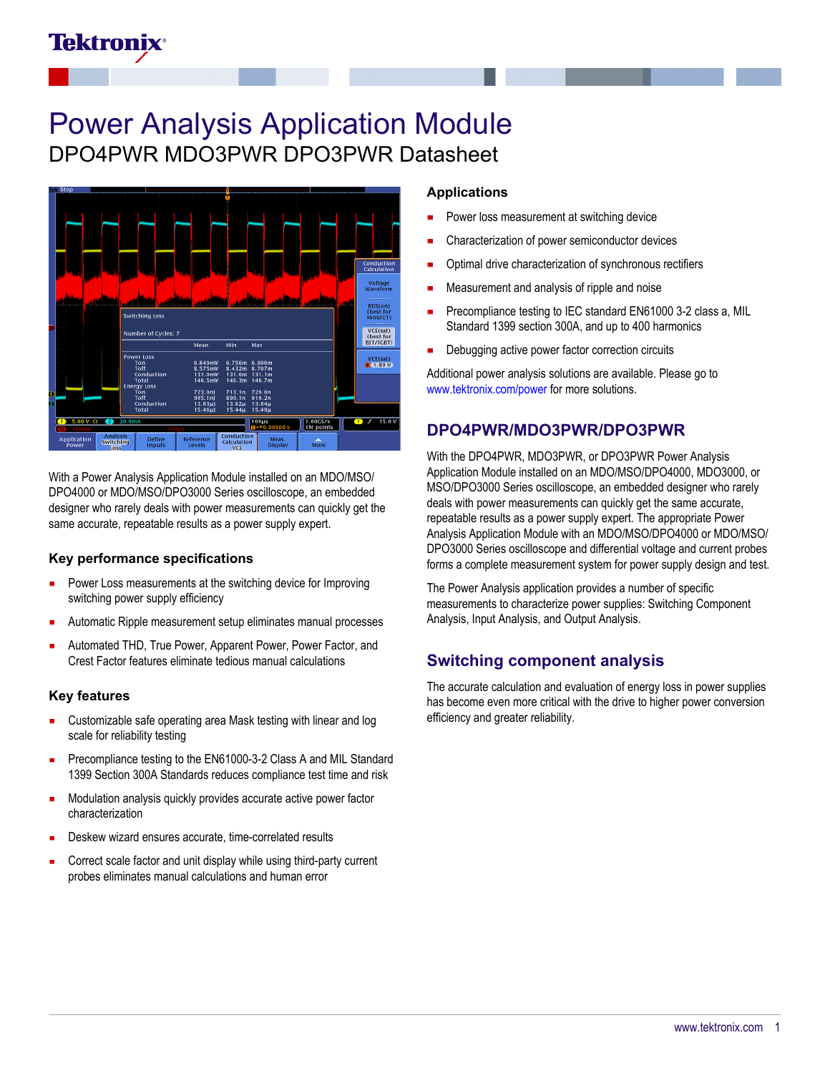# Tektronix

# Power Analysis Application Module DPO4PWR MDO3PWR DPO3PWR Datasheet



With a Power Analysis Application Module installed on an MDO/MSO/ DPO4000 or MDO/MSO/DPO3000 Series oscilloscope, an embedded designer who rarely deals with power measurements can quickly get the same accurate, repeatable results as a power supply expert.

#### **Key performance specifications**

- Power Loss measurements at the switching device for Improving switching power supply efficiency
- Automatic Ripple measurement setup eliminates manual processes
- Automated THD, True Power, Apparent Power, Power Factor, and Crest Factor features eliminate tedious manual calculations

#### **Key features**

- Customizable safe operating area Mask testing with linear and log scale for reliability testing
- Precompliance testing to the EN61000-3-2 Class A and MIL Standard 1399 Section 300A Standards reduces compliance test time and risk
- Modulation analysis quickly provides accurate active power factor characterization
- Deskew wizard ensures accurate, time-correlated results
- Correct scale factor and unit display while using third-party current probes eliminates manual calculations and human error

#### **Applications**

- Power loss measurement at switching device
- Characterization of power semiconductor devices
- Optimal drive characterization of synchronous rectifiers
- Measurement and analysis of ripple and noise
- Precompliance testing to IEC standard EN61000 3-2 class a, MIL Standard 1399 section 300A, and up to 400 harmonics
- Debugging active power factor correction circuits

Additional power analysis solutions are available. Please go to [www.tektronix.com/power](http://www.tektronix.com/power) for more solutions.

## **DPO4PWR/MDO3PWR/DPO3PWR**

With the DPO4PWR, MDO3PWR, or DPO3PWR Power Analysis Application Module installed on an MDO/MSO/DPO4000, MDO3000, or MSO/DPO3000 Series oscilloscope, an embedded designer who rarely deals with power measurements can quickly get the same accurate, repeatable results as a power supply expert. The appropriate Power Analysis Application Module with an MDO/MSO/DPO4000 or MDO/MSO/ DPO3000 Series oscilloscope and differential voltage and current probes forms a complete measurement system for power supply design and test.

The Power Analysis application provides a number of specific measurements to characterize power supplies: Switching Component Analysis, Input Analysis, and Output Analysis.

## **Switching component analysis**

The accurate calculation and evaluation of energy loss in power supplies has become even more critical with the drive to higher power conversion efficiency and greater reliability.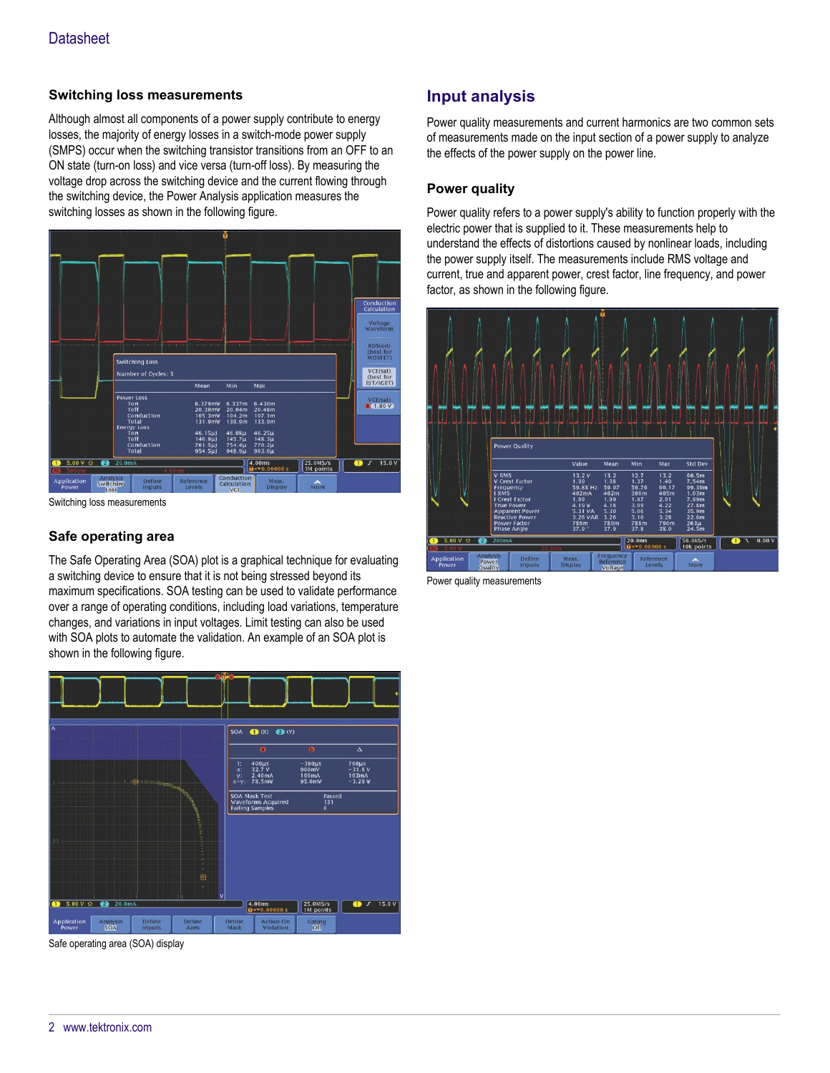### **Switching loss measurements**

Although almost all components of a power supply contribute to energy losses, the majority of energy losses in a switch-mode power supply (SMPS) occur when the switching transistor transitions from an OFF to an ON state (turn-on loss) and vice versa (turn-off loss). By measuring the voltage drop across the switching device and the current flowing through the switching device, the Power Analysis application measures the switching losses as shown in the following figure.



Switching loss measurements

## **Safe operating area**

The Safe Operating Area (SOA) plot is a graphical technique for evaluating a switching device to ensure that it is not being stressed beyond its maximum specifications. SOA testing can be used to validate performance over a range of operating conditions, including load variations, temperature changes, and variations in input voltages. Limit testing can also be used with SOA plots to automate the validation. An example of an SOA plot is shown in the following figure.



Safe operating area (SOA) display

# **Input analysis**

Power quality measurements and current harmonics are two common sets of measurements made on the input section of a power supply to analyze the effects of the power supply on the power line.

### **Power quality**

Power quality refers to a power supply's ability to function properly with the electric power that is supplied to it. These measurements help to understand the effects of distortions caused by nonlinear loads, including the power supply itself. The measurements include RMS voltage and current, true and apparent power, crest factor, line frequency, and power factor, as shown in the following figure.



Power quality measurements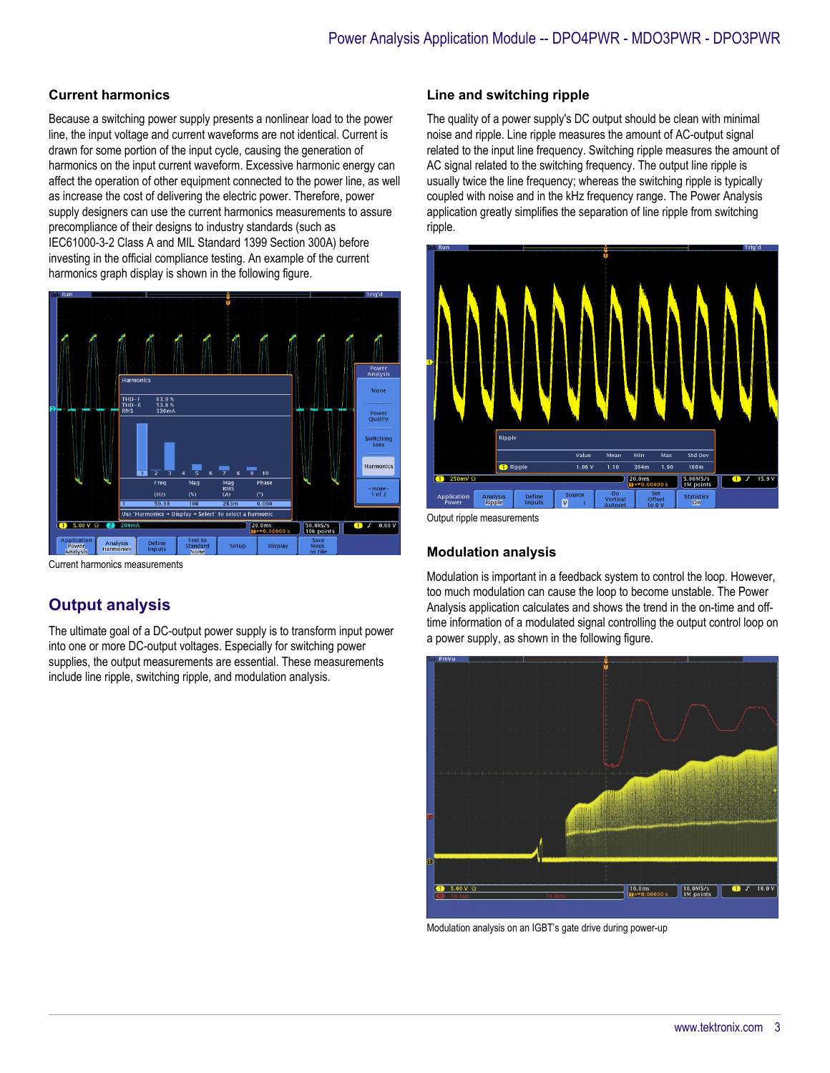#### **Current harmonics**

Because a switching power supply presents a nonlinear load to the power line, the input voltage and current waveforms are not identical. Current is drawn for some portion of the input cycle, causing the generation of harmonics on the input current waveform. Excessive harmonic energy can affect the operation of other equipment connected to the power line, as well as increase the cost of delivering the electric power. Therefore, power supply designers can use the current harmonics measurements to assure precompliance of their designs to industry standards (such as IEC61000-3-2 Class A and MIL Standard 1399 Section 300A) before investing in the official compliance testing. An example of the current harmonics graph display is shown in the following figure.



Current harmonics measurements

# **Output analysis**

The ultimate goal of a DC-output power supply is to transform input power into one or more DC-output voltages. Especially for switching power supplies, the output measurements are essential. These measurements include line ripple, switching ripple, and modulation analysis.

## **Line and switching ripple**

The quality of a power supply's DC output should be clean with minimal noise and ripple. Line ripple measures the amount of AC-output signal related to the input line frequency. Switching ripple measures the amount of AC signal related to the switching frequency. The output line ripple is usually twice the line frequency; whereas the switching ripple is typically coupled with noise and in the kHz frequency range. The Power Analysis application greatly simplifies the separation of line ripple from switching ripple.



Output ripple measurements

## **Modulation analysis**

Modulation is important in a feedback system to control the loop. However, too much modulation can cause the loop to become unstable. The Power Analysis application calculates and shows the trend in the on-time and offtime information of a modulated signal controlling the output control loop on a power supply, as shown in the following figure.



Modulation analysis on an IGBT's gate drive during power-up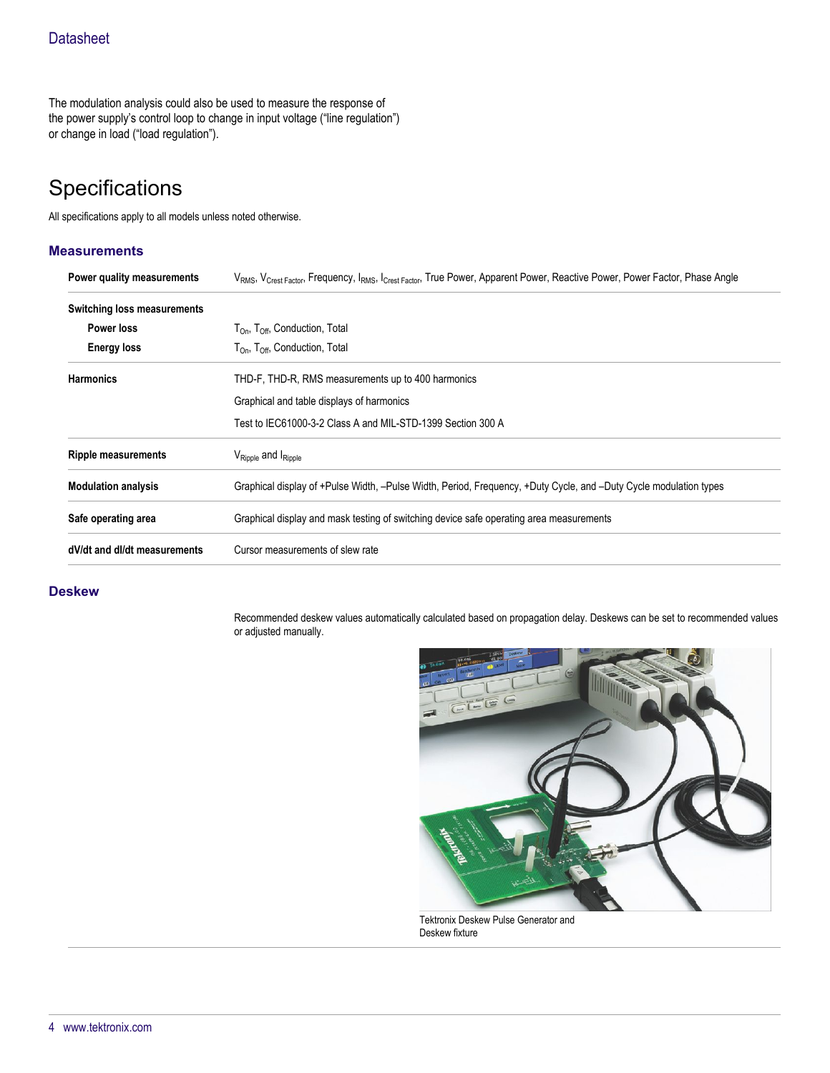The modulation analysis could also be used to measure the response of the power supply's control loop to change in input voltage ("line regulation") or change in load ("load regulation").

# **Specifications**

All specifications apply to all models unless noted otherwise.

### **Measurements**

| Power quality measurements   | VRMS, V <sub>Crest Factor</sub> , Frequency, I <sub>RMS</sub> , I <sub>Crest Factor</sub> , True Power, Apparent Power, Reactive Power, Power Factor, Phase Angle |  |
|------------------------------|-------------------------------------------------------------------------------------------------------------------------------------------------------------------|--|
| Switching loss measurements  |                                                                                                                                                                   |  |
| Power loss                   | $T_{\text{On}}$ , $T_{\text{Off}}$ , Conduction, Total                                                                                                            |  |
| <b>Energy loss</b>           | $T_{\text{On}}$ , $T_{\text{Off}}$ , Conduction, Total                                                                                                            |  |
| <b>Harmonics</b>             | THD-F, THD-R, RMS measurements up to 400 harmonics                                                                                                                |  |
|                              | Graphical and table displays of harmonics                                                                                                                         |  |
|                              | Test to IEC61000-3-2 Class A and MIL-STD-1399 Section 300 A                                                                                                       |  |
| <b>Ripple measurements</b>   | $V_{\text{Ripple}}$ and $I_{\text{Ripple}}$                                                                                                                       |  |
| <b>Modulation analysis</b>   | Graphical display of +Pulse Width, -Pulse Width, Period, Frequency, +Duty Cycle, and -Duty Cycle modulation types                                                 |  |
| Safe operating area          | Graphical display and mask testing of switching device safe operating area measurements                                                                           |  |
| dV/dt and dl/dt measurements | Cursor measurements of slew rate                                                                                                                                  |  |

#### **Deskew**

Recommended deskew values automatically calculated based on propagation delay. Deskews can be set to recommended values or adjusted manually.



Tektronix Deskew Pulse Generator and Deskew fixture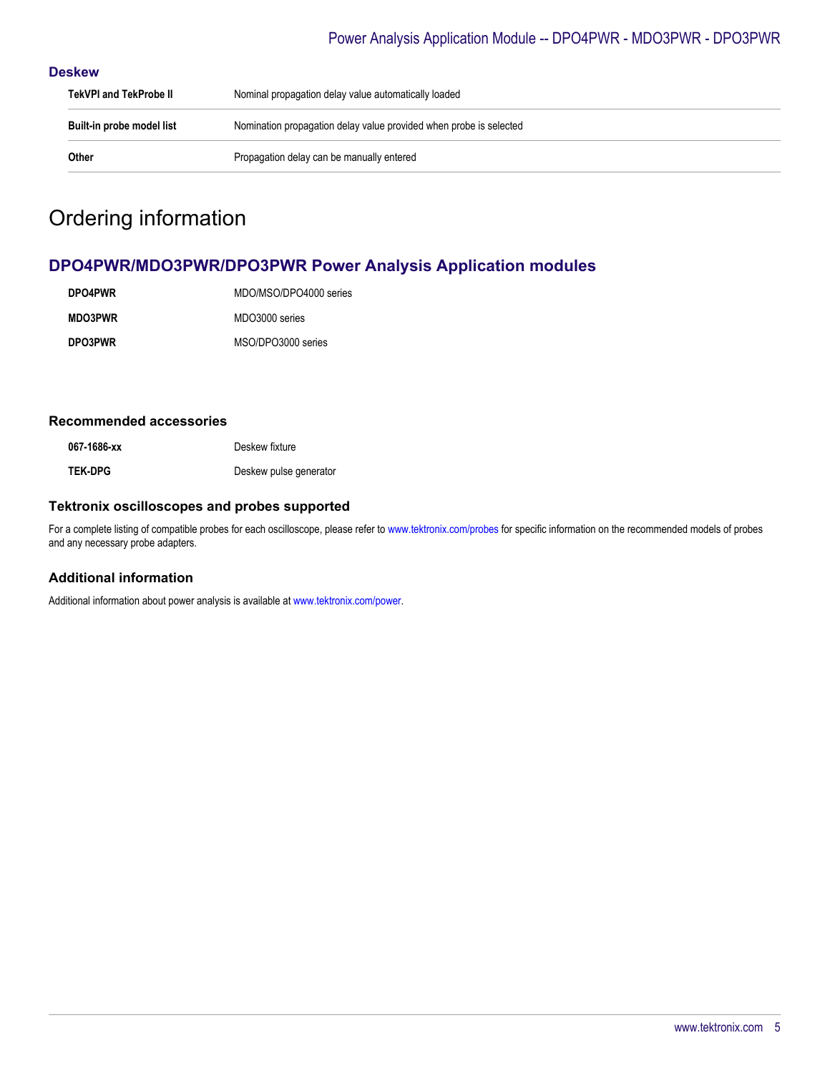## Power Analysis Application Module -- DPO4PWR - MDO3PWR - DPO3PWR

#### **Deskew**

| TekVPI and TekProbe II    | Nominal propagation delay value automatically loaded               |  |
|---------------------------|--------------------------------------------------------------------|--|
| Built-in probe model list | Nomination propagation delay value provided when probe is selected |  |
| Other                     | Propagation delay can be manually entered                          |  |

# Ordering information

# **DPO4PWR/MDO3PWR/DPO3PWR Power Analysis Application modules**

| <b>DPO4PWR</b> | MDO/MSO/DPO4000 series |
|----------------|------------------------|
| <b>MDO3PWR</b> | MDO3000 series         |
| DPO3PWR        | MSO/DPO3000 series     |

#### **Recommended accessories**

067-1686-xx<br>
Deskew fixture **TEK-DPG** Deskew pulse generator

#### **Tektronix oscilloscopes and probes supported**

For a complete listing of compatible probes for each oscilloscope, please refer to [www.tektronix.com/probes](http://www.tektronix.com/probes) for specific information on the recommended models of probes and any necessary probe adapters.

## **Additional information**

Additional information about power analysis is available at [www.tektronix.com/power.](http://www.tektronix.com/power)